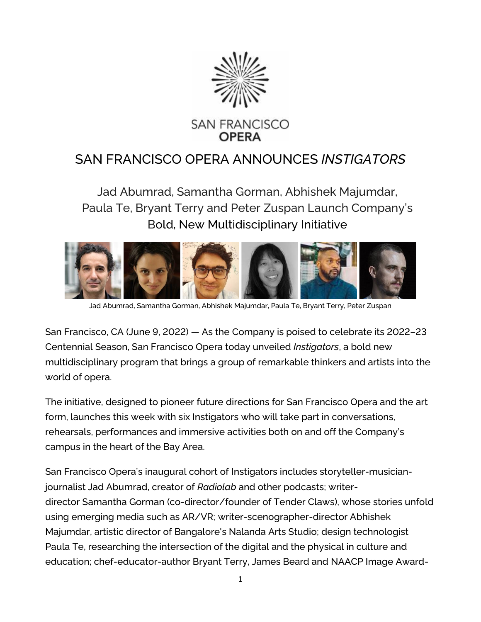

## SAN FRANCISCO OPERA ANNOUNCES *INSTIGATORS*

Jad Abumrad, Samantha Gorman, Abhishek Majumdar, Paula Te, Bryant Terry and Peter Zuspan Launch Company's Bold, New Multidisciplinary Initiative



Jad Abumrad, Samantha Gorman, Abhishek Majumdar, Paula Te, Bryant Terry, Peter Zuspan

San Francisco, CA (June 9, 2022) — As the Company is poised to celebrate its 2022–23 Centennial Season, San Francisco Opera today unveiled *Instigators*, a bold new multidisciplinary program that brings a group of remarkable thinkers and artists into the world of opera.

The initiative, designed to pioneer future directions for San Francisco Opera and the art form, launches this week with six Instigators who will take part in conversations, rehearsals, performances and immersive activities both on and off the Company's campus in the heart of the Bay Area.

San Francisco Opera's inaugural cohort of Instigators includes storyteller-musicianjournalist Jad Abumrad, creator of *Radiolab* and other podcasts; writerdirector Samantha Gorman (co-director/founder of Tender Claws), whose stories unfold using emerging media such as AR/VR; writer-scenographer-director Abhishek Majumdar, artistic director of Bangalore's Nalanda Arts Studio; design technologist Paula Te, researching the intersection of the digital and the physical in culture and education; chef-educator-author Bryant Terry, James Beard and NAACP Image Award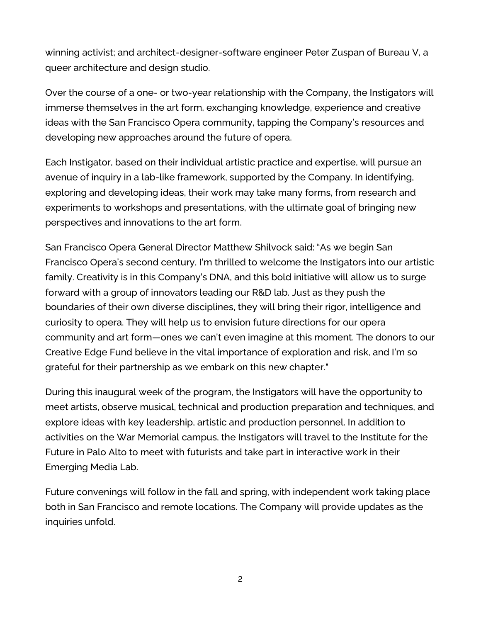winning activist; and architect-designer-software engineer Peter Zuspan of Bureau V, a queer architecture and design studio.

Over the course of a one- or two-year relationship with the Company, the Instigators will immerse themselves in the art form, exchanging knowledge, experience and creative ideas with the San Francisco Opera community, tapping the Company's resources and developing new approaches around the future of opera.

Each Instigator, based on their individual artistic practice and expertise, will pursue an avenue of inquiry in a lab-like framework, supported by the Company. In identifying, exploring and developing ideas, their work may take many forms, from research and experiments to workshops and presentations, with the ultimate goal of bringing new perspectives and innovations to the art form.

San Francisco Opera General Director Matthew Shilvock said: "As we begin San Francisco Opera's second century, I'm thrilled to welcome the Instigators into our artistic family. Creativity is in this Company's DNA, and this bold initiative will allow us to surge forward with a group of innovators leading our R&D lab. Just as they push the boundaries of their own diverse disciplines, they will bring their rigor, intelligence and curiosity to opera. They will help us to envision future directions for our opera community and art form—ones we can't even imagine at this moment. The donors to our Creative Edge Fund believe in the vital importance of exploration and risk, and I'm so grateful for their partnership as we embark on this new chapter."

During this inaugural week of the program, the Instigators will have the opportunity to meet artists, observe musical, technical and production preparation and techniques, and explore ideas with key leadership, artistic and production personnel. In addition to activities on the War Memorial campus, the Instigators will travel to the Institute for the Future in Palo Alto to meet with futurists and take part in interactive work in their Emerging Media Lab.

Future convenings will follow in the fall and spring, with independent work taking place both in San Francisco and remote locations. The Company will provide updates as the inquiries unfold.

2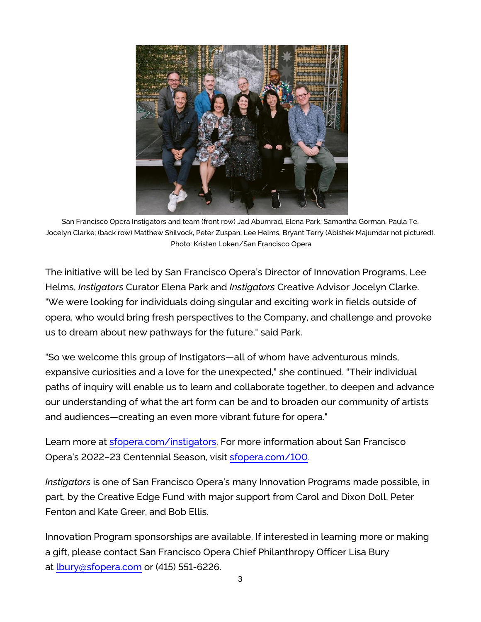

San Francisco Opera Instigators and team (front row) Jad Abumrad, Elena Park, Samantha Gorman, Paula Te, Jocelyn Clarke; (back row) Matthew Shilvock, Peter Zuspan, Lee Helms, Bryant Terry (Abishek Majumdar not pictured). Photo: Kristen Loken/San Francisco Opera

The initiative will be led by San Francisco Opera's Director of Innovation Programs, Lee Helms, *Instigators* Curator Elena Park and *Instigators* Creative Advisor Jocelyn Clarke. "We were looking for individuals doing singular and exciting work in fields outside of opera, who would bring fresh perspectives to the Company, and challenge and provoke us to dream about new pathways for the future," said Park.

"So we welcome this group of Instigators—all of whom have adventurous minds, expansive curiosities and a love for the unexpected," she continued. "Their individual paths of inquiry will enable us to learn and collaborate together, to deepen and advance our understanding of what the art form can be and to broaden our community of artists and audiences—creating an even more vibrant future for opera."

Learn more at [sfopera.com/instigators.](https://www.sfopera.com/instigators) For more information about San Francisco Opera's 2022–23 Centennial Season, visit [sfopera.com/100.](https://www.sfopera.com/100)

*Instigators* is one of San Francisco Opera's many Innovation Programs made possible, in part, by the Creative Edge Fund with major support from Carol and Dixon Doll, Peter Fenton and Kate Greer, and Bob Ellis.

Innovation Program sponsorships are available. If interested in learning more or making a gift, please contact San Francisco Opera Chief Philanthropy Officer Lisa Bury at [lbury@sfopera.com](mailto:lbury@sfopera.com) or (415) 551-6226.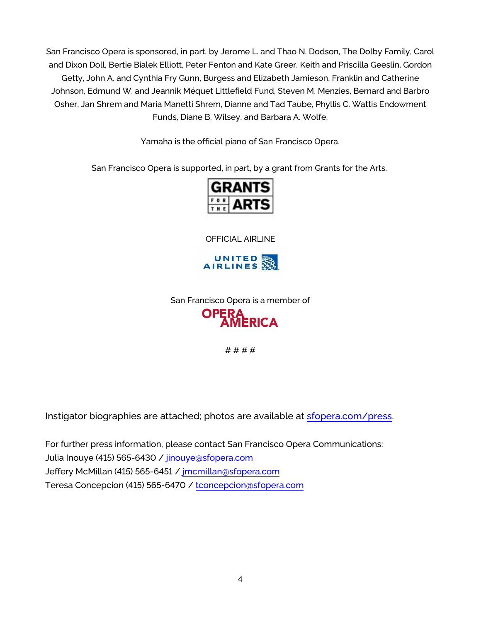San Francisco Opera is sponsored, in part, by Jerome L. and Thao N. Dodson, The Dolby Family, Carol and Dixon Doll, Bertie Bialek Elliott, Peter Fenton and Kate Greer, Keith and Priscilla Geeslin, Gordon Getty, John A. and Cynthia Fry Gunn, Burgess and Elizabeth Jamieson, Franklin and Catherine Johnson, Edmund W. and Jeannik Méquet Littlefield Fund, Steven M. Menzies, Bernard and Barbro Osher, Jan Shrem and Maria Manetti Shrem, Dianne and Tad Taube, Phyllis C. Wattis Endowment Funds, Diane B. Wilsey, and Barbara A. Wolfe.

Yamaha is the official piano of San Francisco Opera.

San Francisco Opera is supported, in part, by a grant from Grants for the Arts.



OFFICIAL AIRLINE



San Francisco Opera is a member of



# # # #

Instigator biographies are attached; photos are available at [sfopera.com/press.](https://www.sfopera.com/press)

For further press information, please contact San Francisco Opera Communications: Julia Inouye (415) 565-6430 / [jinouye@sfopera.com](mailto:jinouye@sfopera.com) Jeffery McMillan (415) 565-6451 / [jmcmillan@sfopera.com](mailto:jmcmillan@sfopera.com) Teresa Concepcion (415) 565-6470 / [tconcepcion@sfopera.com](mailto:tconcepcion@sfopera.com)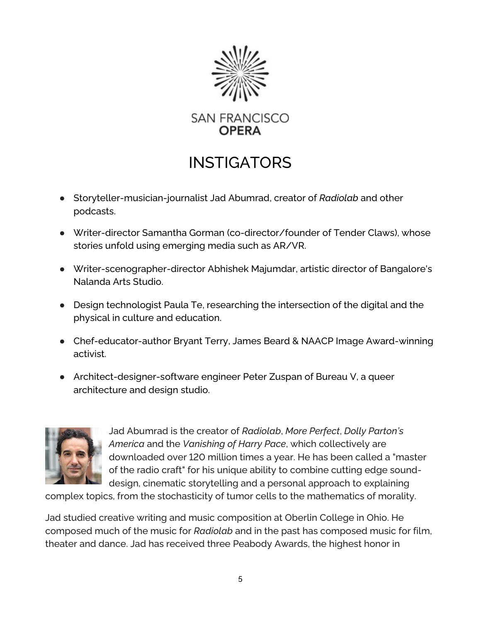

## **INSTIGATORS**

- Storyteller-musician-journalist Jad Abumrad, creator of *Radiolab* and other podcasts.
- Writer-director Samantha Gorman (co-director/founder of Tender Claws), whose stories unfold using emerging media such as AR/VR.
- Writer-scenographer-director Abhishek Majumdar, artistic director of Bangalore's Nalanda Arts Studio.
- Design technologist Paula Te, researching the intersection of the digital and the physical in culture and education.
- Chef-educator-author Bryant Terry, James Beard & NAACP Image Award-winning activist.
- Architect-designer-software engineer Peter Zuspan of Bureau V, a queer architecture and design studio.



Jad Abumrad is the creator of *Radiolab*, *More Perfect*, *Dolly Parton's America* and the *Vanishing of Harry Pace*, which collectively are downloaded over 120 million times a year. He has been called a "master of the radio craft" for his unique ability to combine cutting edge sounddesign, cinematic storytelling and a personal approach to explaining

complex topics, from the stochasticity of tumor cells to the mathematics of morality.

Jad studied creative writing and music composition at Oberlin College in Ohio. He composed much of the music for *Radiolab* and in the past has composed music for film, theater and dance. Jad has received three Peabody Awards, the highest honor in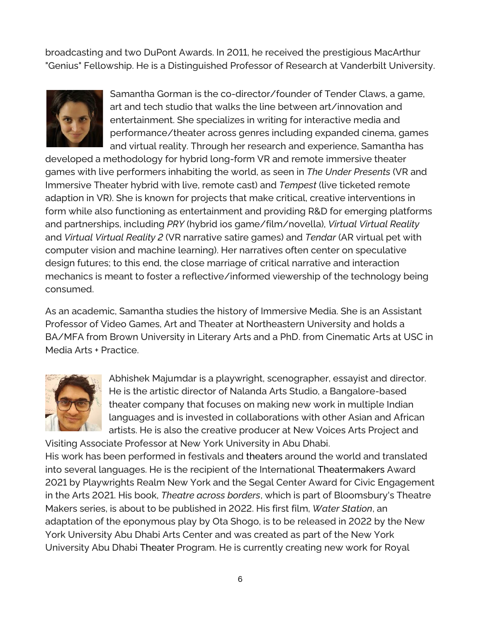broadcasting and two DuPont Awards. In 2011, he received the prestigious MacArthur "Genius" Fellowship. He is a Distinguished Professor of Research at Vanderbilt University.



Samantha Gorman is the co-director/founder of Tender Claws, a game, art and tech studio that walks the line between art/innovation and entertainment. She specializes in writing for interactive media and performance/theater across genres including expanded cinema, games and virtual reality. Through her research and experience, Samantha has

developed a methodology for hybrid long-form VR and remote immersive theater games with live performers inhabiting the world, as seen in *The Under Presents* (VR and Immersive Theater hybrid with live, remote cast) and *Tempest* (live ticketed remote adaption in VR). She is known for projects that make critical, creative interventions in form while also functioning as entertainment and providing R&D for emerging platforms and partnerships, including *PRY* (hybrid ios game/film/novella), *Virtual Virtual Reality* and *Virtual Virtual Reality 2* (VR narrative satire games) and *Tendar* (AR virtual pet with computer vision and machine learning). Her narratives often center on speculative design futures; to this end, the close marriage of critical narrative and interaction mechanics is meant to foster a reflective/informed viewership of the technology being consumed.

As an academic, Samantha studies the history of Immersive Media. She is an Assistant Professor of Video Games, Art and Theater at Northeastern University and holds a BA/MFA from Brown University in Literary Arts and a PhD. from Cinematic Arts at USC in Media Arts + Practice.



Abhishek Majumdar is a playwright, scenographer, essayist and director. He is the artistic director of Nalanda Arts Studio, a Bangalore-based theater company that focuses on making new work in multiple Indian languages and is invested in collaborations with other Asian and African artists. He is also the creative producer at New Voices Arts Project and

Visiting Associate Professor at New York University in Abu Dhabi. His work has been performed in festivals and theaters around the world and translated into several languages. He is the recipient of the International Theatermakers Award 2021 by Playwrights Realm New York and the Segal Center Award for Civic Engagement in the Arts 2021. His book, *Theatre across borders*, which is part of Bloomsbury's Theatre Makers series, is about to be published in 2022. His first film, *Water Station*, an adaptation of the eponymous play by Ota Shogo, is to be released in 2022 by the New York University Abu Dhabi Arts Center and was created as part of the New York University Abu Dhabi Theater Program. He is currently creating new work for Royal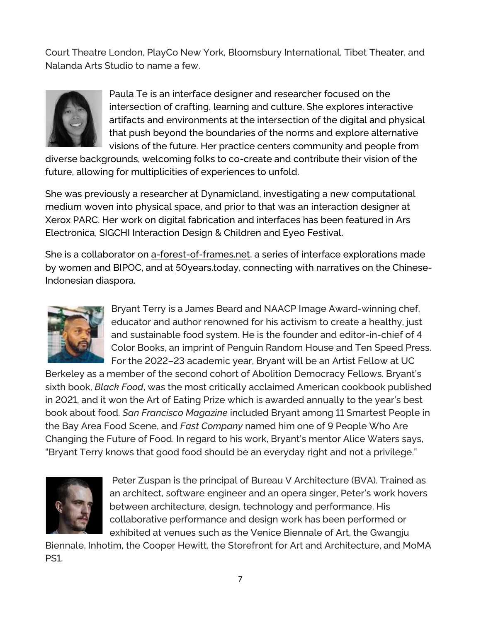Court Theatre London, PlayCo New York, Bloomsbury International, Tibet Theater, and Nalanda Arts Studio to name a few.



Paula Te is an interface designer and researcher focused on the intersection of crafting, learning and culture. She explores interactive artifacts and environments at the intersection of the digital and physical that push beyond the boundaries of the norms and explore alternative visions of the future. Her practice centers community and people from

diverse backgrounds, welcoming folks to co-create and contribute their vision of the future, allowing for multiplicities of experiences to unfold.

She was previously a researcher at Dynamicland, investigating a new computational medium woven into physical space, and prior to that was an interaction designer at Xerox PARC. Her work on digital fabrication and interfaces has been featured in Ars Electronica, SIGCHI Interaction Design & Children and Eyeo Festival.

She is a collaborator on [a-forest-of-frames.net,](https://protect-us.mimecast.com/s/wkmVCxkmq6U558LtYinrd?domain=a-forest-of-frames.net) a series of interface explorations made by women and BIPOC, and at [50years.today,](https://protect-us.mimecast.com/s/gqVICwpl90UEE6vSq-R7i?domain=50years.today) connecting with narratives on the Chinese-Indonesian diaspora.



Bryant Terry is a James Beard and NAACP Image Award-winning chef, educator and author renowned for his activism to create a healthy, just and sustainable food system. He is the founder and editor-in-chief of 4 Color Books, an imprint of Penguin Random House and Ten Speed Press. For the 2022–23 academic year, Bryant will be an Artist Fellow at UC

Berkeley as a member of the second cohort of Abolition Democracy Fellows. Bryant's sixth book, *Black Food*, was the most critically acclaimed American cookbook published in 2021, and it won the Art of Eating Prize which is awarded annually to the year's best book about food. *San Francisco Magazine* included Bryant among 11 Smartest People in the Bay Area Food Scene, and *Fast Company* named him one of 9 People Who Are Changing the Future of Food. In regard to his work, Bryant's mentor Alice Waters says, "Bryant Terry knows that good food should be an everyday right and not a privilege."



Peter Zuspan is the principal of Bureau V Architecture (BVA). Trained as an architect, software engineer and an opera singer, Peter's work hovers between architecture, design, technology and performance. His collaborative performance and design work has been performed or exhibited at venues such as the Venice Biennale of Art, the Gwangju

Biennale, Inhotim, the Cooper Hewitt, the Storefront for Art and Architecture, and MoMA PS1.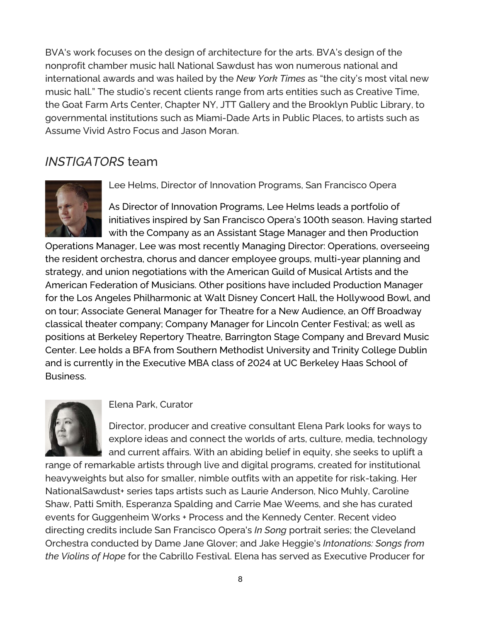BVA's work focuses on the design of architecture for the arts. BVA's design of the nonprofit chamber music hall National Sawdust has won numerous national and international awards and was hailed by the *New York Times* as "the city's most vital new music hall." The studio's recent clients range from arts entities such as Creative Time, the Goat Farm Arts Center, Chapter NY, JTT Gallery and the Brooklyn Public Library, to governmental institutions such as Miami-Dade Arts in Public Places, to artists such as Assume Vivid Astro Focus and Jason Moran.

## *INSTIGATORS* team



Lee Helms, Director of Innovation Programs, San Francisco Opera

As Director of Innovation Programs, Lee Helms leads a portfolio of initiatives inspired by San Francisco Opera's 100th season. Having started with the Company as an Assistant Stage Manager and then Production

Operations Manager, Lee was most recently Managing Director: Operations, overseeing the resident orchestra, chorus and dancer employee groups, multi-year planning and strategy, and union negotiations with the American Guild of Musical Artists and the American Federation of Musicians. Other positions have included Production Manager for the Los Angeles Philharmonic at Walt Disney Concert Hall, the Hollywood Bowl, and on tour; Associate General Manager for Theatre for a New Audience, an Off Broadway classical theater company; Company Manager for Lincoln Center Festival; as well as positions at Berkeley Repertory Theatre, Barrington Stage Company and Brevard Music Center. Lee holds a BFA from Southern Methodist University and Trinity College Dublin and is currently in the Executive MBA class of 2024 at UC Berkeley Haas School of Business.



## Elena Park, Curator

Director, producer and creative consultant Elena Park looks for ways to explore ideas and connect the worlds of arts, culture, media, technology and current affairs. With an abiding belief in equity, she seeks to uplift a

range of remarkable artists through live and digital programs, created for institutional heavyweights but also for smaller, nimble outfits with an appetite for risk-taking. Her NationalSawdust+ series taps artists such as Laurie Anderson, Nico Muhly, Caroline Shaw, Patti Smith, Esperanza Spalding and Carrie Mae Weems, and she has curated events for Guggenheim Works + Process and the Kennedy Center. Recent video directing credits include San Francisco Opera's *In Song* portrait series; the Cleveland Orchestra conducted by Dame Jane Glover; and Jake Heggie's *Intonations: Songs from the Violins of Hope* for the Cabrillo Festival. Elena has served as Executive Producer for